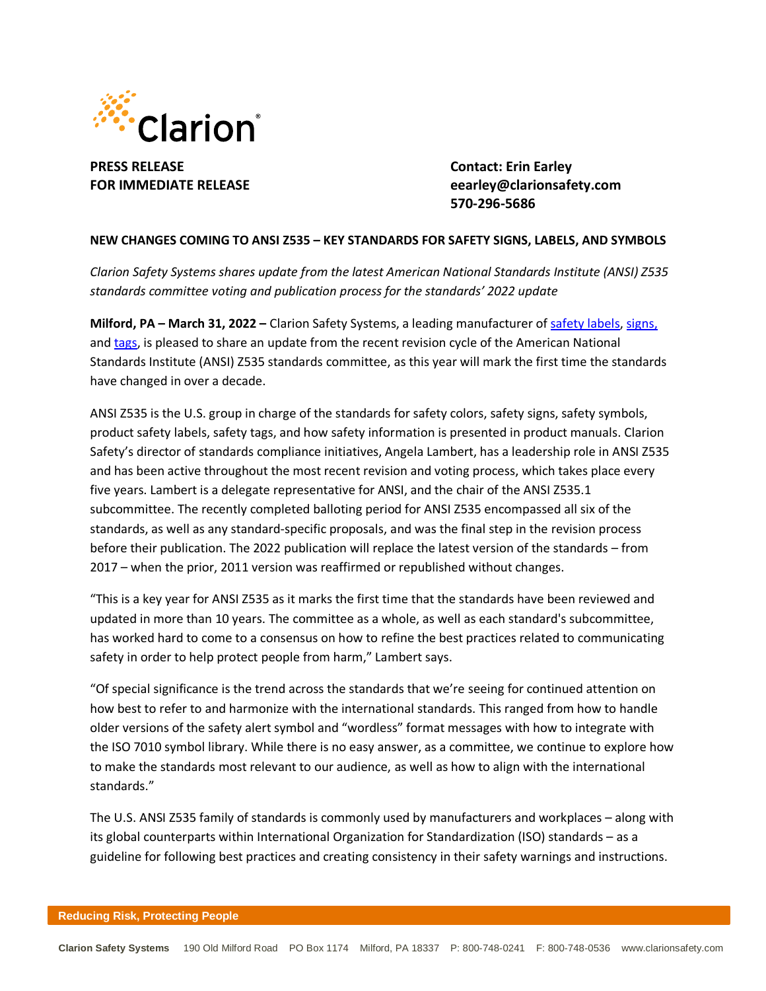

**PRESS RELEASE Contact: Erin Earley**

**FOR IMMEDIATE RELEASE eearley@clarionsafety.com 570-296-5686**

## **NEW CHANGES COMING TO ANSI Z535 – KEY STANDARDS FOR SAFETY SIGNS, LABELS, AND SYMBOLS**

*Clarion Safety Systems shares update from the latest American National Standards Institute (ANSI) Z535 standards committee voting and publication process for the standards' 2022 update*

**Milford, PA – March 31, 2022 –** Clarion Safety Systems, a leading manufacturer of safety [labels,](https://www.clarionsafety.com/ANSI-ISO-Safety-Labels) [signs,](https://www.clarionsafety.com/Facility-Safety) and [tags,](https://www.clarionsafety.com/safety-tags/) is pleased to share an update from the recent revision cycle of the American National Standards Institute (ANSI) Z535 standards committee, as this year will mark the first time the standards have changed in over a decade.

ANSI Z535 is the U.S. group in charge of the standards for safety colors, safety signs, safety symbols, product safety labels, safety tags, and how safety information is presented in product manuals. Clarion Safety's director of standards compliance initiatives, Angela Lambert, has a leadership role in ANSI Z535 and has been active throughout the most recent revision and voting process, which takes place every five years. Lambert is a delegate representative for ANSI, and the chair of the ANSI Z535.1 subcommittee. The recently completed balloting period for ANSI Z535 encompassed all six of the standards, as well as any standard-specific proposals, and was the final step in the revision process before their publication. The 2022 publication will replace the latest version of the standards – from 2017 – when the prior, 2011 version was reaffirmed or republished without changes.

"This is a key year for ANSI Z535 as it marks the first time that the standards have been reviewed and updated in more than 10 years. The committee as a whole, as well as each standard's subcommittee, has worked hard to come to a consensus on how to refine the best practices related to communicating safety in order to help protect people from harm," Lambert says.

"Of special significance is the trend across the standards that we're seeing for continued attention on how best to refer to and harmonize with the international standards. This ranged from how to handle older versions of the safety alert symbol and "wordless" format messages with how to integrate with the ISO 7010 symbol library. While there is no easy answer, as a committee, we continue to explore how to make the standards most relevant to our audience, as well as how to align with the international standards."

The U.S. ANSI Z535 family of standards is commonly used by manufacturers and workplaces – along with its global counterparts within International Organization for Standardization (ISO) standards – as a guideline for following best practices and creating consistency in their safety warnings and instructions.

## **Reducing Risk, Protecting People**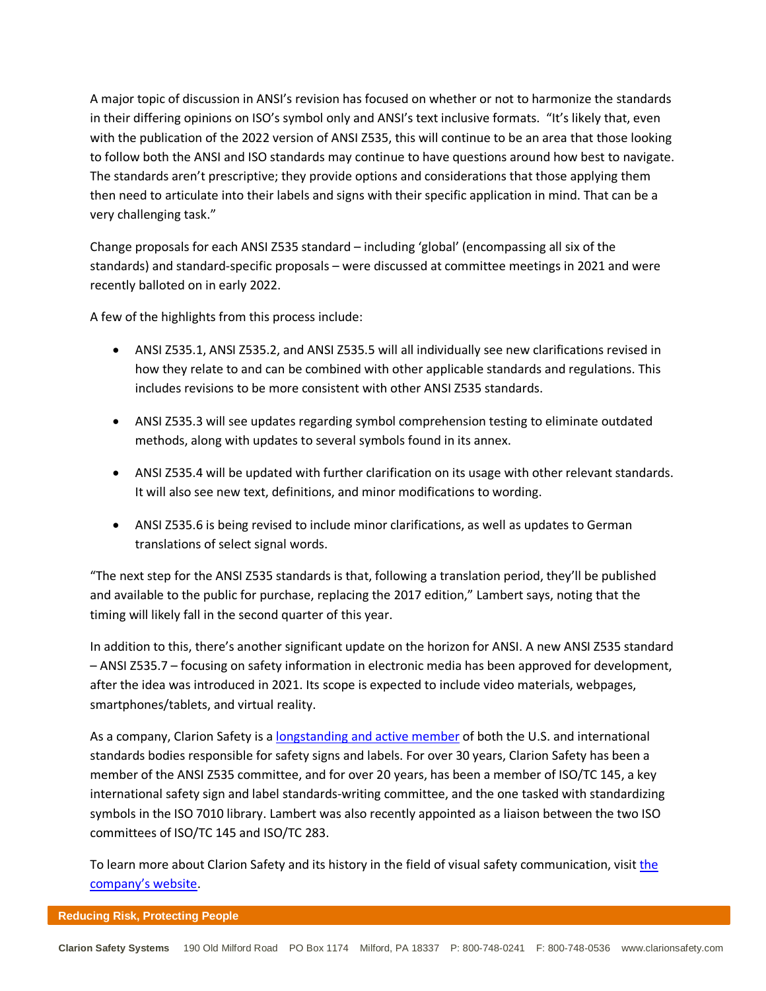A major topic of discussion in ANSI's revision has focused on whether or not to harmonize the standards in their differing opinions on ISO's symbol only and ANSI's text inclusive formats. "It's likely that, even with the publication of the 2022 version of ANSI Z535, this will continue to be an area that those looking to follow both the ANSI and ISO standards may continue to have questions around how best to navigate. The standards aren't prescriptive; they provide options and considerations that those applying them then need to articulate into their labels and signs with their specific application in mind. That can be a very challenging task."

Change proposals for each ANSI Z535 standard – including 'global' (encompassing all six of the standards) and standard-specific proposals – were discussed at committee meetings in 2021 and were recently balloted on in early 2022.

A few of the highlights from this process include:

- ANSI Z535.1, ANSI Z535.2, and ANSI Z535.5 will all individually see new clarifications revised in how they relate to and can be combined with other applicable standards and regulations. This includes revisions to be more consistent with other ANSI Z535 standards.
- ANSI Z535.3 will see updates regarding symbol comprehension testing to eliminate outdated methods, along with updates to several symbols found in its annex.
- ANSI Z535.4 will be updated with further clarification on its usage with other relevant standards. It will also see new text, definitions, and minor modifications to wording.
- ANSI Z535.6 is being revised to include minor clarifications, as well as updates to German translations of select signal words.

"The next step for the ANSI Z535 standards is that, following a translation period, they'll be published and available to the public for purchase, replacing the 2017 edition," Lambert says, noting that the timing will likely fall in the second quarter of this year.

In addition to this, there's another significant update on the horizon for ANSI. A new ANSI Z535 standard – ANSI Z535.7 – focusing on safety information in electronic media has been approved for development, after the idea was introduced in 2021. Its scope is expected to include video materials, webpages, smartphones/tablets, and virtual reality.

As a company, Clarion Safety is a [longstanding](https://www.clarionsafety.com/our-story/) and active member of both the U.S. and international standards bodies responsible for safety signs and labels. For over 30 years, Clarion Safety has been a member of the ANSI Z535 committee, and for over 20 years, has been a member of ISO/TC 145, a key international safety sign and label standards-writing committee, and the one tasked with standardizing symbols in the ISO 7010 library. Lambert was also recently appointed as a liaison between the two ISO committees of ISO/TC 145 and ISO/TC 283.

To learn more about Clarion Safety and its history in the field of visual safety communication, visit [the](https://www.clarionsafety.com/about-clarion/) [company's](https://www.clarionsafety.com/about-clarion/) website.

## **Reducing Risk, Protecting People**